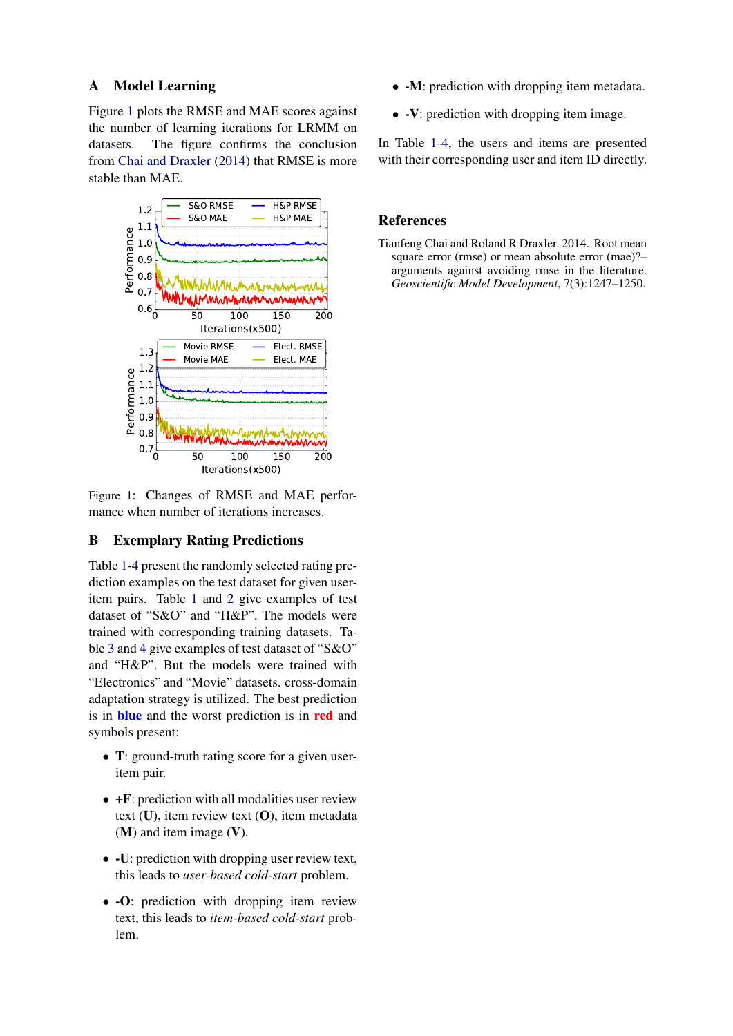## A Model Learning

Figure [1](#page-0-0) plots the RMSE and MAE scores against the number of learning iterations for LRMM on datasets. The figure confirms the conclusion from [Chai and Draxler](#page-0-1) [\(2014\)](#page-0-1) that RMSE is more stable than MAE.

<span id="page-0-0"></span>

Figure 1: Changes of RMSE and MAE performance when number of iterations increases.

## B Exemplary Rating Predictions

Table [1-](#page-1-0)[4](#page-4-0) present the randomly selected rating prediction examples on the test dataset for given useritem pairs. Table [1](#page-1-0) and [2](#page-2-0) give examples of test dataset of "S&O" and "H&P". The models were trained with corresponding training datasets. Table [3](#page-3-0) and [4](#page-4-0) give examples of test dataset of "S&O" and "H&P". But the models were trained with "Electronics" and "Movie" datasets. cross-domain adaptation strategy is utilized. The best prediction is in blue and the worst prediction is in red and symbols present:

- **T**: ground-truth rating score for a given useritem pair.
- +F: prediction with all modalities user review text  $(U)$ , item review text  $(O)$ , item metadata (M) and item image (V).
- -U: prediction with dropping user review text, this leads to *user-based cold-start* problem.
- -O: prediction with dropping item review text, this leads to *item-based cold-start* problem.
- -M: prediction with dropping item metadata.
- -V: prediction with dropping item image.

In Table [1-](#page-1-0)[4,](#page-4-0) the users and items are presented with their corresponding user and item ID directly.

## References

<span id="page-0-1"></span>Tianfeng Chai and Roland R Draxler. 2014. Root mean square error (rmse) or mean absolute error (mae)?arguments against avoiding rmse in the literature. *Geoscientific Model Development*, 7(3):1247–1250.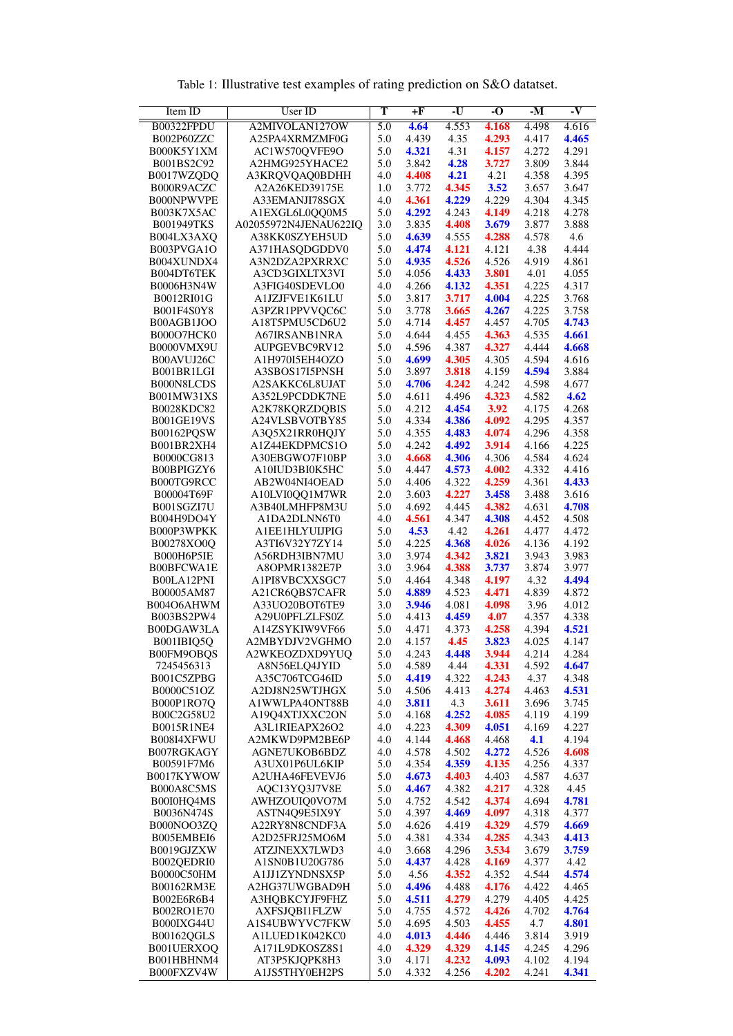<span id="page-1-0"></span>

| Item ID                  | User ID                                | T                | $+F$           | $-U$           | $\overline{\cdot 0}$ | $-M$           | $\overline{\mathbf{v}}$ |
|--------------------------|----------------------------------------|------------------|----------------|----------------|----------------------|----------------|-------------------------|
| B00322FPDU               | A2MIVOLAN127OW                         | $\overline{5.0}$ | 4.64           | 4.553          | 4.168                | 4.498          | 4.616                   |
| B002P60ZZC               | A25PA4XRMZMF0G                         | 5.0              | 4.439          | 4.35           | 4.293                | 4.417          | 4.465                   |
| B000K5Y1XM               | AC1W570QVFE9O                          | 5.0              | 4.321          | 4.31           | 4.157                | 4.272          | 4.291                   |
| B001BS2C92<br>B0017WZQDQ | A2HMG925YHACE2<br>A3KRQVQAQ0BDHH       | 5.0<br>4.0       | 3.842<br>4.408 | 4.28<br>4.21   | 3.727<br>4.21        | 3.809<br>4.358 | 3.844<br>4.395          |
| B000R9ACZC               | A2A26KED39175E                         | 1.0              | 3.772          | 4.345          | 3.52                 | 3.657          | 3.647                   |
| B000NPWVPE               | A33EMANJI78SGX                         | 4.0              | 4.361          | 4.229          | 4.229                | 4.304          | 4.345                   |
| B003K7X5AC               | A1EXGL6L0QQ0M5                         | 5.0              | 4.292          | 4.243          | 4.149                | 4.218          | 4.278                   |
| <b>B001949TKS</b>        | A02055972N4JENAU622IQ                  | 3.0              | 3.835          | 4.408          | 3.679                | 3.877          | 3.888                   |
| B004LX3AXQ<br>B003PVGA1O | A38KK0SZYEH5UD<br>A371HASQDGDDV0       | 5.0<br>5.0       | 4.639<br>4.474 | 4.555<br>4.121 | 4.288<br>4.121       | 4.578<br>4.38  | 4.6<br>4.444            |
| B004XUNDX4               | A3N2DZA2PXRRXC                         | 5.0              | 4.935          | 4.526          | 4.526                | 4.919          | 4.861                   |
| B004DT6TEK               | A3CD3GIXLTX3VI                         | 5.0              | 4.056          | 4.433          | 3.801                | 4.01           | 4.055                   |
| B0006H3N4W               | A3FIG40SDEVLO0                         | 4.0              | 4.266          | 4.132          | 4.351                | 4.225          | 4.317                   |
| B0012RI01G               | A1JZJFVE1K61LU                         | 5.0              | 3.817          | 3.717          | 4.004                | 4.225          | 3.768                   |
| B001F4S0Y8<br>B00AGB1JOO | A3PZR1PPVVQC6C<br>A18T5PMU5CD6U2       | 5.0<br>5.0       | 3.778<br>4.714 | 3.665<br>4.457 | 4.267<br>4.457       | 4.225<br>4.705 | 3.758<br>4.743          |
| B000O7HCK0               | A67IRSANB1NRA                          | 5.0              | 4.644          | 4.455          | 4.363                | 4.535          | 4.661                   |
| B0000VMX9U               | AUPGEVBC9RV12                          | 5.0              | 4.596          | 4.387          | 4.327                | 4.444          | 4.668                   |
| B00AVUJ26C               | A1H970I5EH4OZO                         | 5.0              | 4.699          | 4.305          | 4.305                | 4.594          | 4.616                   |
| B001BR1LGI               | A3SBOS17I5PNSH                         | 5.0              | 3.897          | 3.818          | 4.159                | 4.594          | 3.884                   |
| B000N8LCDS<br>B001MW31XS | A2SAKKC6L8UJAT                         | 5.0<br>5.0       | 4.706<br>4.611 | 4.242<br>4.496 | 4.242<br>4.323       | 4.598<br>4.582 | 4.677<br>4.62           |
| B0028KDC82               | A352L9PCDDK7NE<br>A2K78KQRZDQBIS       | 5.0              | 4.212          | 4.454          | 3.92                 | 4.175          | 4.268                   |
| <b>B001GE19VS</b>        | A24VLSBVOTBY85                         | 5.0              | 4.334          | 4.386          | 4.092                | 4.295          | 4.357                   |
| B00162PQSW               | A3Q5X21RR0HQJY                         | 5.0              | 4.355          | 4.483          | 4.074                | 4.296          | 4.358                   |
| B001BR2XH4               | A1Z44EKDPMCS1O                         | 5.0              | 4.242          | 4.492          | 3.914                | 4.166          | 4.225                   |
| B0000CG813               | A30EBGWO7F10BP                         | 3.0<br>5.0       | 4.668<br>4.447 | 4.306<br>4.573 | 4.306<br>4.002       | 4.584          | 4.624                   |
| B00BPIGZY6<br>B000TG9RCC | A10IUD3BI0K5HC<br>AB2W04NI4OEAD        | 5.0              | 4.406          | 4.322          | 4.259                | 4.332<br>4.361 | 4.416<br>4.433          |
| B00004T69F               | A10LVI0QQ1M7WR                         | 2.0              | 3.603          | 4.227          | 3.458                | 3.488          | 3.616                   |
| B001SGZI7U               | A3B40LMHFP8M3U                         | 5.0              | 4.692          | 4.445          | 4.382                | 4.631          | 4.708                   |
| B004H9DO4Y               | A1DA2DLNN6T0                           | 4.0              | 4.561          | 4.347          | 4.308                | 4.452          | 4.508                   |
| B000P3WPKK               | A1EE1HLYUIJPIG                         | 5.0              | 4.53           | 4.42           | 4.261                | 4.477          | 4.472                   |
| B00278XO0Q<br>B000H6P5IE | A3TI6V32Y7ZY14<br>A56RDH3IBN7MU        | 5.0<br>3.0       | 4.225<br>3.974 | 4.368<br>4.342 | 4.026<br>3.821       | 4.136<br>3.943 | 4.192<br>3.983          |
| B00BFCWA1E               | A8OPMR1382E7P                          | 3.0              | 3.964          | 4.388          | 3.737                | 3.874          | 3.977                   |
| B00LA12PNI               | A1PI8VBCXXSGC7                         | 5.0              | 4.464          | 4.348          | 4.197                | 4.32           | 4.494                   |
| B00005AM87               | A21CR6QBS7CAFR                         | 5.0              | 4.889          | 4.523          | 4.471                | 4.839          | 4.872                   |
| B004O6AHWM<br>B003BS2PW4 | A33UO20BOT6TE9<br>A29U0PFLZLFS0Z       | 3.0<br>5.0       | 3.946<br>4.413 | 4.081<br>4.459 | 4.098<br>4.07        | 3.96<br>4.357  | 4.012<br>4.338          |
| B00DGAW3LA               | A14ZSYKIW9VF66                         | 5.0              | 4.471          | 4.373          | 4.258                | 4.394          | 4.521                   |
| B001IBIQ5Q               | A2MBYDJV2VGHMO                         | 2.0              | 4.157          | 4.45           | 3.823                | 4.025          | 4.147                   |
| B00FM9OBQS               | A2WKEOZDXD9YUQ                         | 5.0              | 4.243          | 4.448          | 3.944                | 4.214          | 4.284                   |
| 7245456313               | A8N56ELQ4JYID                          | 5.0              | 4.589          | 4.44           | 4.331                | 4.592          | 4.647                   |
| B001C5ZPBG<br>B0000C51OZ | A35C706TCG46ID<br>A2DJ8N25WTJHGX       | 5.0<br>5.0       | 4.419<br>4.506 | 4.322<br>4.413 | 4.243<br>4.274       | 4.37<br>4.463  | 4.348<br>4.531          |
| B000P1RO7Q               | A1WWLPA4ONT88B                         | 4.0              | 3.811          | 4.3            | 3.611                | 3.696          | 3.745                   |
| B00C2G58U2               | A19Q4XTJXXC2ON                         | 5.0              | 4.168          | 4.252          | 4.085                | 4.119          | 4.199                   |
| B0015R1NE4               | A3L1RIEAPX26O2                         | 4.0              | 4.223          | 4.309          | 4.051                | 4.169          | 4.227                   |
| B008I4XFWU               | A2MKWD9PM2BE6P                         | 4.0              | 4.144          | 4.468          | 4.468                | 4.1            | 4.194                   |
| B007RGKAGY<br>B00591F7M6 | AGNE7UKOB6BDZ<br>A3UX01P6UL6KIP        | 4.0<br>5.0       | 4.578<br>4.354 | 4.502<br>4.359 | 4.272<br>4.135       | 4.526<br>4.256 | 4.608<br>4.337          |
| B0017KYWOW               | A2UHA46FEVEVJ6                         | 5.0              | 4.673          | 4.403          | 4.403                | 4.587          | 4.637                   |
| B000A8C5MS               | AQC13YQ3J7V8E                          | 5.0              | 4.467          | 4.382          | 4.217                | 4.328          | 4.45                    |
| B00I0HQ4MS               | AWHZOUIO0VO7M                          | 5.0              | 4.752          | 4.542          | 4.374                | 4.694          | 4.781                   |
| B0036N474S               | ASTN4Q9E5IX9Y                          | 5.0              | 4.397          | 4.469          | 4.097                | 4.318          | 4.377                   |
| B000NOO3ZQ               | A22RY8N8CNDF3A                         | 5.0              | 4.626          | 4.419          | 4.329                | 4.579          | 4.669                   |
| B005EMBEI6<br>B0019GJZXW | A2D25FRJ25MO6M<br>ATZJNEXX7LWD3        | 5.0<br>4.0       | 4.381<br>3.668 | 4.334<br>4.296 | 4.285<br>3.534       | 4.343<br>3.679 | 4.413<br>3.759          |
| B002QEDRI0               | A1SN0B1U20G786                         | 5.0              | 4.437          | 4.428          | 4.169                | 4.377          | 4.42                    |
| B0000C50HM               | A1JJ1ZYNDNSX5P                         | 5.0              | 4.56           | 4.352          | 4.352                | 4.544          | 4.574                   |
| B00162RM3E               | A2HG37UWGBAD9H                         | 5.0              | 4.496          | 4.488          | 4.176                | 4.422          | 4.465                   |
| B002E6R6B4               | <b>АЗНОВКСҮЈҒ9ҒНZ</b>                  | 5.0              | 4.511          | 4.279          | 4.279                | 4.405          | 4.425                   |
| B002RO1E70<br>B000IXG44U | <b>AXFSJQBI1FLZW</b><br>A1S4UBWYVC7FKW | 5.0<br>5.0       | 4.755<br>4.695 | 4.572<br>4.503 | 4.426<br>4.455       | 4.702<br>4.7   | 4.764<br>4.801          |
| B00162QGLS               | A1LUED1K042KC0                         | 4.0              | 4.013          | 4.446          | 4.446                | 3.814          | 3.919                   |
| B001UERXOQ               | A171L9DKOSZ8S1                         | 4.0              | 4.329          | 4.329          | 4.145                | 4.245          | 4.296                   |
| B001HBHNM4               | AT3P5KJQPK8H3                          | 3.0              | 4.171          | 4.232          | 4.093                | 4.102          | 4.194                   |
| B000FXZV4W               | A1JS5THY0EH2PS                         | 5.0              | 4.332          | 4.256          | 4.202                | 4.241          | 4.341                   |

Table 1: Illustrative test examples of rating prediction on S&O datatset.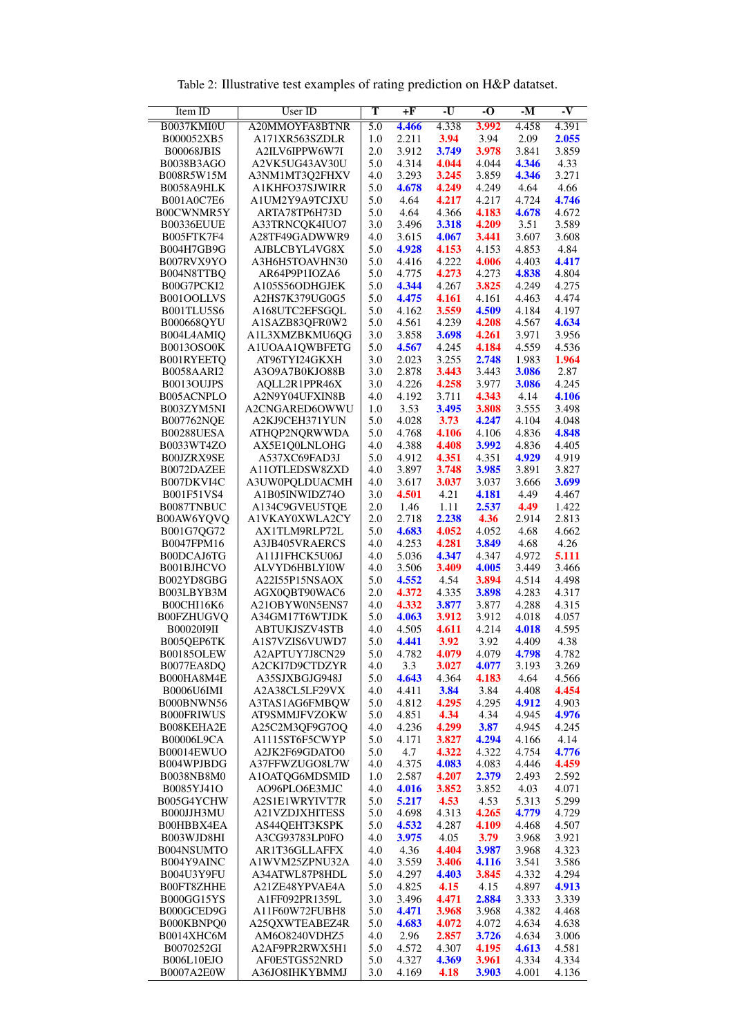<span id="page-2-0"></span>

| Item ID                         | <b>User ID</b>                          | $\overline{\text{T}}$ | $+F$           | $-U$           | $\overline{\bf 0}$ | $-M$           | -V             |
|---------------------------------|-----------------------------------------|-----------------------|----------------|----------------|--------------------|----------------|----------------|
| B0037KMI0U                      | A20MMOYFA8BTNR                          | $\overline{5.0}$      | 4.466          | 4.338          | 3.992              | 4.458          | 4.391          |
| B000052XB5                      | A171XR563SZDLR                          | 1.0                   | 2.211          | 3.94           | 3.94               | 2.09           | 2.055          |
| <b>B00068JBIS</b>               | A2ILV6IPPW6W7I                          | 2.0                   | 3.912          | 3.749          | 3.978              | 3.841          | 3.859          |
| B0038B3AGO<br>B008R5W15M        | A2VK5UG43AV30U<br>A3NM1MT3Q2FHXV        | 5.0<br>4.0            | 4.314<br>3.293 | 4.044<br>3.245 | 4.044<br>3.859     | 4.346<br>4.346 | 4.33<br>3.271  |
| <b>B0058A9HLK</b>               | A1KHFO37SJWIRR                          | 5.0                   | 4.678          | 4.249          | 4.249              | 4.64           | 4.66           |
| B001A0C7E6                      | A1UM2Y9A9TCJXU                          | 5.0                   | 4.64           | 4.217          | 4.217              | 4.724          | 4.746          |
| B00CWNMR5Y                      | ARTA78TP6H73D                           | 5.0                   | 4.64           | 4.366          | 4.183              | 4.678          | 4.672          |
| <b>B00336EUUE</b>               | A33TRNCQK4IUO7                          | 3.0                   | 3.496          | 3.318          | 4.209              | 3.51           | 3.589          |
| B005FTK7F4                      | A28TF49GADWWR9                          | 4.0                   | 3.615          | 4.067          | 3.441              | 3.607          | 3.608          |
| B004H7GB9G<br>B007RVX9YO        | AJBLCBYL4VG8X                           | 5.0<br>5.0            | 4.928<br>4.416 | 4.153<br>4.222 | 4.153<br>4.006     | 4.853<br>4.403 | 4.84<br>4.417  |
| B004N8TTBQ                      | A3H6H5TOAVHN30<br>AR64P9P1IOZA6         | 5.0                   | 4.775          | 4.273          | 4.273              | 4.838          | 4.804          |
| B00G7PCKI2                      | A105S56ODHGJEK                          | 5.0                   | 4.344          | 4.267          | 3.825              | 4.249          | 4.275          |
| B001OOLLVS                      | A2HS7K379UG0G5                          | 5.0                   | 4.475          | 4.161          | 4.161              | 4.463          | 4.474          |
| <b>B001TLU5S6</b>               | A168UTC2EFSGQL                          | 5.0                   | 4.162          | 3.559          | 4.509              | 4.184          | 4.197          |
| B000668QYU                      | A1SAZB83QFR0W2                          | 5.0                   | 4.561          | 4.239          | 4.208              | 4.567          | 4.634          |
| B004L4AMIQ                      | A1L3XMZBKMU6QG                          | 3.0                   | 3.858          | 3.698          | 4.261              | 3.971          | 3.956          |
| <b>B0013OSO0K</b><br>B001RYEETQ | A1UOAA1QWBFETG<br>AT96TYI24GKXH         | 5.0<br>3.0            | 4.567<br>2.023 | 4.245<br>3.255 | 4.184<br>2.748     | 4.559<br>1.983 | 4.536<br>1.964 |
| <b>B0058AARI2</b>               | A3O9A7B0KJO88B                          | 3.0                   | 2.878          | 3.443          | 3.443              | 3.086          | 2.87           |
| B0013OUJPS                      | AOLL2R1PPR46X                           | 3.0                   | 4.226          | 4.258          | 3.977              | 3.086          | 4.245          |
| B005ACNPLO                      | A2N9Y04UFXIN8B                          | 4.0                   | 4.192          | 3.711          | 4.343              | 4.14           | 4.106          |
| B003ZYM5NI                      | A2CNGARED6OWWU                          | 1.0                   | 3.53           | 3.495          | 3.808              | 3.555          | 3.498          |
| <b>B007762NQE</b>               | A2KJ9CEH371YUN                          | 5.0                   | 4.028          | 3.73           | 4.247              | 4.104          | 4.048          |
| <b>B00288UESA</b>               | ATHQP2NQRWWDA                           | 5.0                   | 4.768          | 4.106          | 4.106              | 4.836          | 4.848          |
| B0033WT4ZO<br>B00JZRX9SE        | AX5E1Q0LNLOHG<br>A537XC69FAD3J          | 4.0<br>5.0            | 4.388<br>4.912 | 4.408<br>4.351 | 3.992<br>4.351     | 4.836<br>4.929 | 4.405<br>4.919 |
| B0072DAZEE                      | A110TLEDSW8ZXD                          | 4.0                   | 3.897          | 3.748          | 3.985              | 3.891          | 3.827          |
| B007DKVI4C                      | A3UW0PQLDUACMH                          | 4.0                   | 3.617          | 3.037          | 3.037              | 3.666          | 3.699          |
| B001F51VS4                      | A1B05INWIDZ74O                          | 3.0                   | 4.501          | 4.21           | 4.181              | 4.49           | 4.467          |
| B0087TNBUC                      | A134C9GVEU5TQE                          | 2.0                   | 1.46           | 1.11           | 2.537              | 4.49           | 1.422          |
| B00AW6YQVQ                      | A1VKAY0XWLA2CY                          | 2.0                   | 2.718          | 2.238          | 4.36               | 2.914          | 2.813          |
| B001G7QG72                      | AX1TLM9RLP72L                           | 5.0<br>4.0            | 4.683<br>4.253 | 4.052<br>4.281 | 4.052<br>3.849     | 4.68<br>4.68   | 4.662<br>4.26  |
| B0047FPM16<br>B00DCAJ6TG        | A3JB405VRAERCS<br>A11J1FHCK5U06J        | 4.0                   | 5.036          | 4.347          | 4.347              | 4.972          | 5.111          |
| B001BJHCVO                      | ALVYD6HBLYI0W                           | 4.0                   | 3.506          | 3.409          | 4.005              | 3.449          | 3.466          |
| B002YD8GBG                      | A22I55P15NSAOX                          | 5.0                   | 4.552          | 4.54           | 3.894              | 4.514          | 4.498          |
| B003LBYB3M                      | AGX0QBT90WAC6                           | 2.0                   | 4.372          | 4.335          | 3.898              | 4.283          | 4.317          |
| B00CHI16K6                      | A21OBYW0N5ENS7                          | 4.0                   | 4.332          | 3.877          | 3.877              | 4.288          | 4.315          |
| <b>B00FZHUGVQ</b>               | A34GM17T6WTJDK                          | 5.0                   | 4.063          | 3.912          | 3.912              | 4.018          | 4.057          |
| <b>B00020I9II</b><br>B005QEP6TK | <b>ABTUKJSZV4STB</b><br>A1S7VZIS6VUWD7  | 4.0<br>5.0            | 4.505<br>4.441 | 4.611<br>3.92  | 4.214<br>3.92      | 4.018<br>4.409 | 4.595<br>4.38  |
| B00185OLEW                      | A2APTUY7J8CN29                          | 5.0                   | 4.782          | 4.079          | 4.079              | 4.798          | 4.782          |
| B0077EA8DO                      | A2CKI7D9CTDZYR                          | 4.0                   | 3.3            | 3.027          | 4.077              | 3.193          | 3.269          |
| B000HA8M4E                      | A35SJXBGJG948J                          | 5.0                   | 4.643          | 4.364          | 4.183              | 4.64           | 4.566          |
| <b>B0006U6IMI</b>               | A2A38CL5LF29VX                          | 4.0                   | 4.411          | 3.84           | 3.84               | 4.408          | 4.454          |
| B000BNWN56                      | A3TAS1AG6FMBQW                          | 5.0                   | 4.812          | 4.295          | 4.295              | 4.912          | 4.903          |
| <b>B000FRIWUS</b><br>B008KEHA2E | AT9SMMJFVZOKW<br>A25C2M3QF9G7OQ         | 5.0<br>4.0            | 4.851<br>4.236 | 4.34<br>4.299  | 4.34<br>3.87       | 4.945<br>4.945 | 4.976<br>4.245 |
| <b>B00006L9CA</b>               | A1115ST6F5CWYP                          | 5.0                   | 4.171          | 3.827          | 4.294              | 4.166          | 4.14           |
| B00014EWUO                      | A2JK2F69GDATO0                          | 5.0                   | 4.7            | 4.322          | 4.322              | 4.754          | 4.776          |
| B004WPJBDG                      | A37FFWZUGO8L7W                          | 4.0                   | 4.375          | 4.083          | 4.083              | 4.446          | 4.459          |
| B0038NB8M0                      | A1OATQG6MDSMID                          | 1.0                   | 2.587          | 4.207          | 2.379              | 2.493          | 2.592          |
| B0085YJ41O                      | AO96PLO6E3MJC                           | 4.0                   | 4.016          | 3.852          | 3.852              | 4.03           | 4.071          |
| B005G4YCHW<br>B000JJH3MU        | A2S1E1WRYIVT7R<br><b>A21VZDJXHITESS</b> | 5.0<br>5.0            | 5.217<br>4.698 | 4.53<br>4.313  | 4.53<br>4.265      | 5.313<br>4.779 | 5.299<br>4.729 |
| B00HBBX4EA                      | AS44QEHT3KSPK                           | 5.0                   | 4.532          | 4.287          | 4.109              | 4.468          | 4.507          |
| B003WJD8HI                      | A3CG93783LP0FO                          | 4.0                   | 3.975          | 4.05           | 3.79               | 3.968          | 3.921          |
| B004NSUMTO                      | AR1T36GLLAFFX                           | 4.0                   | 4.36           | 4.404          | 3.987              | 3.968          | 4.323          |
| B004Y9AINC                      | A1WVM25ZPNU32A                          | 4.0                   | 3.559          | 3.406          | 4.116              | 3.541          | 3.586          |
| B004U3Y9FU                      | A34ATWL87P8HDL                          | 5.0                   | 4.297          | 4.403          | 3.845              | 4.332          | 4.294          |
| B00FT8ZHHE                      | A21ZE48YPVAE4A<br>A1FF092PR1359L        | 5.0                   | 4.825          | 4.15           | 4.15               | 4.897<br>3.333 | 4.913          |
| B000GG15YS<br>B000GCED9G        | A11F60W72FUBH8                          | 3.0<br>5.0            | 3.496<br>4.471 | 4.471<br>3.968 | 2.884<br>3.968     | 4.382          | 3.339<br>4.468 |
| B000KBNPQ0                      | A25QXWTEABEZ4R                          | 5.0                   | 4.683          | 4.072          | 4.072              | 4.634          | 4.638          |
| B0014XHC6M                      | AM6O8240VDHZ5                           | 4.0                   | 2.96           | 2.857          | 3.726              | 4.634          | 3.006          |
| B0070252GI                      | A2AF9PR2RWX5H1                          | 5.0                   | 4.572          | 4.307          | 4.195              | 4.613          | 4.581          |
| B006L10EJO                      | AF0E5TGS52NRD                           | 5.0                   | 4.327          | 4.369          | 3.961              | 4.334          | 4.334          |
| B0007A2E0W                      | A36JO8IHKYBMMJ                          | 3.0                   | 4.169          | 4.18           | 3.903              | 4.001          | 4.136          |

Table 2: Illustrative test examples of rating prediction on H&P datatset.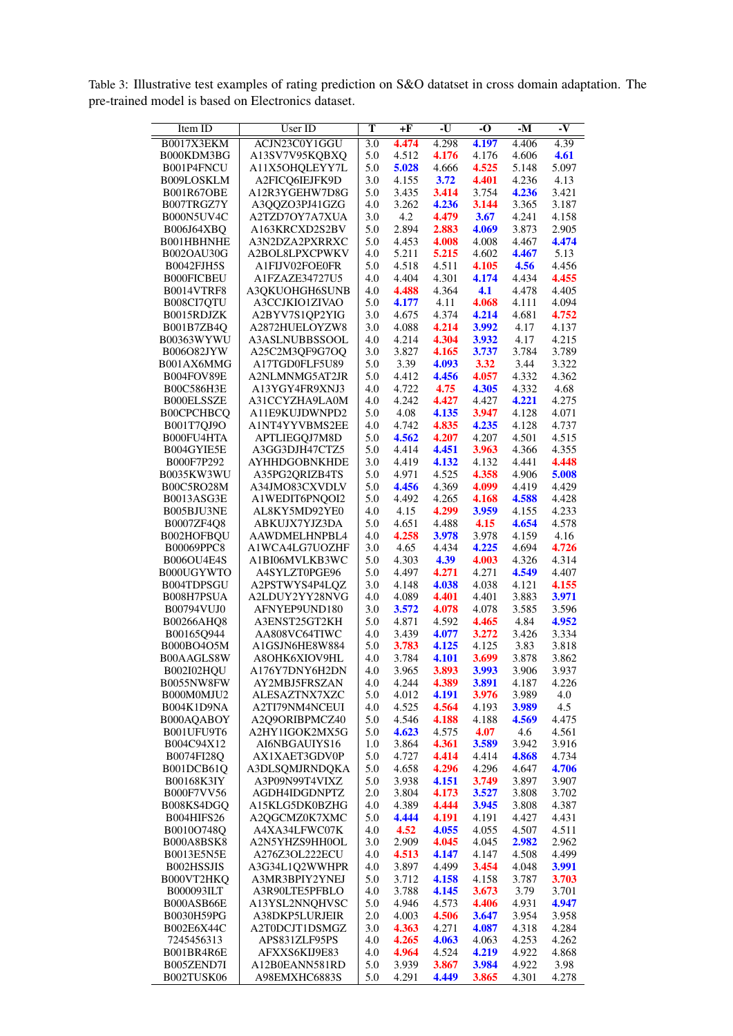<span id="page-3-0"></span>Table 3: Illustrative test examples of rating prediction on S&O datatset in cross domain adaptation. The pre-trained model is based on Electronics dataset.

| Item ID                         | <b>User ID</b>                   | т                | $+F$           | -U             | -0             | $-M$           | $\overline{\mathbf{v}}$ |
|---------------------------------|----------------------------------|------------------|----------------|----------------|----------------|----------------|-------------------------|
| B0017X3EKM                      | ACJN23C0Y1GGU                    | $\overline{3.0}$ | 4.474          | 4.298          | 4.197          | 4.406          | 4.39                    |
| B000KDM3BG                      | A13SV7V95KQBXQ                   | 5.0              | 4.512          | 4.176          | 4.176          | 4.606          | 4.61                    |
| B001P4FNCU                      | A11X5OHQLEYY7L                   | 5.0              | 5.028          | 4.666          | 4.525          | 5.148          | 5.097                   |
| B009LOSKLM<br><b>B001R67OBE</b> | A2FICQ6IEJFK9D<br>A12R3YGEHW7D8G | 3.0<br>5.0       | 4.155<br>3.435 | 3.72<br>3.414  | 4.401<br>3.754 | 4.236<br>4.236 | 4.13<br>3.421           |
| B007TRGZ7Y                      | A3QQZO3PJ41GZG                   | 4.0              | 3.262          | 4.236          | 3.144          | 3.365          | 3.187                   |
| B000N5UV4C                      | A2TZD7OY7A7XUA                   | 3.0              | 4.2            | 4.479          | 3.67           | 4.241          | 4.158                   |
| B006J64XBQ                      | A163KRCXD2S2BV                   | 5.0              | 2.894          | 2.883          | 4.069          | 3.873          | 2.905                   |
| B001HBHNHE                      | A3N2DZA2PXRRXC                   | 5.0              | 4.453          | 4.008          | 4.008          | 4.467          | 4.474                   |
| <b>B002OAU30G</b>               | A2BOL8LPXCPWKV                   | 4.0              | 5.211          | 5.215          | 4.602          | 4.467          | 5.13                    |
| B0042FJH5S                      | A1FIJV02FOE0FR                   | 5.0              | 4.518          | 4.511          | 4.105          | 4.56           | 4.456                   |
| <b>B000FICBEU</b>               | A1FZAZE34727U5                   | 4.0              | 4.404          | 4.301          | 4.174          | 4.434          | 4.455                   |
| B0014VTRF8<br>B008CI7QTU        | A3QKUOHGH6SUNB<br>A3CCJKIO1ZIVAO | 4.0<br>5.0       | 4.488<br>4.177 | 4.364<br>4.11  | 4.1<br>4.068   | 4.478<br>4.111 | 4.405<br>4.094          |
| B0015RDJZK                      | A2BYV7S1QP2YIG                   | 3.0              | 4.675          | 4.374          | 4.214          | 4.681          | 4.752                   |
| B001B7ZB4Q                      | A2872HUELOYZW8                   | 3.0              | 4.088          | 4.214          | 3.992          | 4.17           | 4.137                   |
| B00363WYWU                      | A3ASLNUBBSSOOL                   | 4.0              | 4.214          | 4.304          | 3.932          | 4.17           | 4.215                   |
| B006O82JYW                      | A25C2M3QF9G7OQ                   | 3.0              | 3.827          | 4.165          | 3.737          | 3.784          | 3.789                   |
| B001AX6MMG                      | A17TGD0FLF5U89                   | 5.0              | 3.39           | 4.093          | 3.32           | 3.44           | 3.322                   |
| B004FOV89E                      | A2NLMNMG5AT2JR                   | 5.0              | 4.412          | 4.456          | 4.057          | 4.332          | 4.362                   |
| B00C586H3E<br><b>B000ELSSZE</b> | A13YGY4FR9XNJ3                   | 4.0<br>4.0       | 4.722<br>4.242 | 4.75<br>4.427  | 4.305<br>4.427 | 4.332<br>4.221 | 4.68<br>4.275           |
| B00CPCHBCQ                      | A31CCYZHA9LA0M<br>A11E9KUJDWNPD2 | 5.0              | 4.08           | 4.135          | 3.947          | 4.128          | 4.071                   |
| B001T7QJ9O                      | A1NT4YYVBMS2EE                   | 4.0              | 4.742          | 4.835          | 4.235          | 4.128          | 4.737                   |
| B000FU4HTA                      | APTLIEGQJ7M8D                    | 5.0              | 4.562          | 4.207          | 4.207          | 4.501          | 4.515                   |
| B004GYIE5E                      | A3GG3DJH47CTZ5                   | 5.0              | 4.414          | 4.451          | 3.963          | 4.366          | 4.355                   |
| B000F7P292                      | <b>AYHHDGOBNKHDE</b>             | 3.0              | 4.419          | 4.132          | 4.132          | 4.441          | 4.448                   |
| B0035KW3WU                      | A35PG2QRIZB4TS                   | 5.0              | 4.971          | 4.525          | 4.358          | 4.906          | 5.008                   |
| B00C5RO28M                      | A34JMO83CXVDLV                   | 5.0              | 4.456          | 4.369          | 4.099          | 4.419          | 4.429                   |
| B0013ASG3E<br>B005BJU3NE        | A1WEDIT6PNQOI2<br>AL8KY5MD92YE0  | 5.0<br>4.0       | 4.492<br>4.15  | 4.265<br>4.299 | 4.168<br>3.959 | 4.588<br>4.155 | 4.428<br>4.233          |
| B0007ZF4Q8                      | ABKUJX7YJZ3DA                    | 5.0              | 4.651          | 4.488          | 4.15           | 4.654          | 4.578                   |
| B002HOFBQU                      | AAWDMELHNPBL4                    | 4.0              | 4.258          | 3.978          | 3.978          | 4.159          | 4.16                    |
| B00069PPC8                      | A1WCA4LG7UOZHF                   | 3.0              | 4.65           | 4.434          | 4.225          | 4.694          | 4.726                   |
| <b>B006OU4E4S</b>               | A1BI06MVLKB3WC                   | 5.0              | 4.303          | 4.39           | 4.003          | 4.326          | 4.314                   |
| B000UGYWTO                      | A4SYLZT0PGE96                    | 5.0              | 4.497          | 4.271          | 4.271          | 4.549          | 4.407                   |
| B004TDPSGU                      | A2PSTWYS4P4LQZ                   | 3.0              | 4.148          | 4.038          | 4.038          | 4.121          | 4.155                   |
| B008H7PSUA<br>B00794VUJ0        | A2LDUY2YY28NVG<br>AFNYEP9UND180  | 4.0<br>3.0       | 4.089<br>3.572 | 4.401<br>4.078 | 4.401<br>4.078 | 3.883<br>3.585 | 3.971<br>3.596          |
| B00266AHQ8                      | A3ENST25GT2KH                    | 5.0              | 4.871          | 4.592          | 4.465          | 4.84           | 4.952                   |
| B00165Q944                      | AA808VC64TIWC                    | 4.0              | 3.439          | 4.077          | 3.272          | 3.426          | 3.334                   |
| B000BO4O5M                      | A1GSJN6HE8W884                   | 5.0              | 3.783          | 4.125          | 4.125          | 3.83           | 3.818                   |
| B00AAGLS8W                      | A8OHK6XIOV9HL                    | 4.0              | 3.784          | 4.101          | 3.699          | 3.878          | 3.862                   |
| B002I02HQU                      | A176Y7DNY6H2DN                   | 4.0              | 3.965          | 3.893          | 3.993          | 3.906          | 3.937                   |
| B0055NW8FW                      | AY2MBJ5FRSZAN                    | 4.0              | 4.244          | 4.389          | 3.891          | 4.187          | 4.226                   |
| B000M0MJU2<br>B004K1D9NA        | ALESAZTNX7XZC<br>A2TI79NM4NCEUI  | 5.0<br>4.0       | 4.012<br>4.525 | 4.191<br>4.564 | 3.976<br>4.193 | 3.989<br>3.989 | 4.0<br>4.5              |
| B000AQABOY                      | A2Q9ORIBPMCZ40                   | 5.0              | 4.546          | 4.188          | 4.188          | 4.569          | 4.475                   |
| B001UFU9T6                      | A2HY1IGOK2MX5G                   | 5.0              | 4.623          | 4.575          | 4.07           | 4.6            | 4.561                   |
| B004C94X12                      | AI6NBGAUIYS16                    | 1.0              | 3.864          | 4.361          | 3.589          | 3.942          | 3.916                   |
| B0074FI28O                      | AX1XAET3GDV0P                    | 5.0              | 4.727          | 4.414          | 4.414          | 4.868          | 4.734                   |
| B001DCB61Q                      | A3DLSOMJRNDOKA                   | 5.0              | 4.658          | 4.296          | 4.296          | 4.647          | 4.706                   |
| B00168K3IY                      | A3P09N99T4VIXZ                   | 5.0              | 3.938          | 4.151          | 3.749          | 3.897          | 3.907                   |
| B000F7VV56<br>B008KS4DGQ        | AGDH4IDGDNPTZ<br>A15KLG5DK0BZHG  | 2.0<br>4.0       | 3.804<br>4.389 | 4.173<br>4.444 | 3.527<br>3.945 | 3.808<br>3.808 | 3.702<br>4.387          |
| B004HIFS26                      | A2QGCMZ0K7XMC                    | 5.0              | 4.444          | 4.191          | 4.191          | 4.427          | 4.431                   |
| B0010O748Q                      | A4XA34LFWC07K                    | 4.0              | 4.52           | 4.055          | 4.055          | 4.507          | 4.511                   |
| B000A8BSK8                      | A2N5YHZS9HH0OL                   | 3.0              | 2.909          | 4.045          | 4.045          | 2.982          | 2.962                   |
| <b>B0013E5N5E</b>               | A276Z3OL222ECU                   | 4.0              | 4.513          | 4.147          | 4.147          | 4.508          | 4.499                   |
| B002HSSJIS                      | A3G34L1Q2WWHPR                   | 4.0              | 3.897          | 4.499          | 3.454          | 4.048          | 3.991                   |
| B000VT2HKQ                      | A3MR3BPIY2YNEJ                   | 5.0              | 3.712          | 4.158          | 4.158          | 3.787          | 3.703                   |
| B000093ILT<br>B000ASB66E        | A3R90LTE5PFBLO                   | 4.0<br>5.0       | 3.788<br>4.946 | 4.145<br>4.573 | 3.673<br>4.406 | 3.79<br>4.931  | 3.701<br>4.947          |
| B0030H59PG                      | A13YSL2NNQHVSC<br>A38DKP5LURJEIR | 2.0              | 4.003          | 4.506          | 3.647          | 3.954          | 3.958                   |
| B002E6X44C                      | A2T0DCJT1DSMGZ                   | 3.0              | 4.363          | 4.271          | 4.087          | 4.318          | 4.284                   |
| 7245456313                      | APS831ZLF95PS                    | 4.0              | 4.265          | 4.063          | 4.063          | 4.253          | 4.262                   |
| B001BR4R6E                      | AFXXS6KIJ9E83                    | 4.0              | 4.964          | 4.524          | 4.219          | 4.922          | 4.868                   |
| B005ZEND7I                      | A12B0EANN581RD                   | 5.0              | 3.939          | 3.867          | 3.984          | 4.922          | 3.98                    |
| B002TUSK06                      | A98EMXHC6883S                    | 5.0              | 4.291          | 4.449          | 3.865          | 4.301          | 4.278                   |